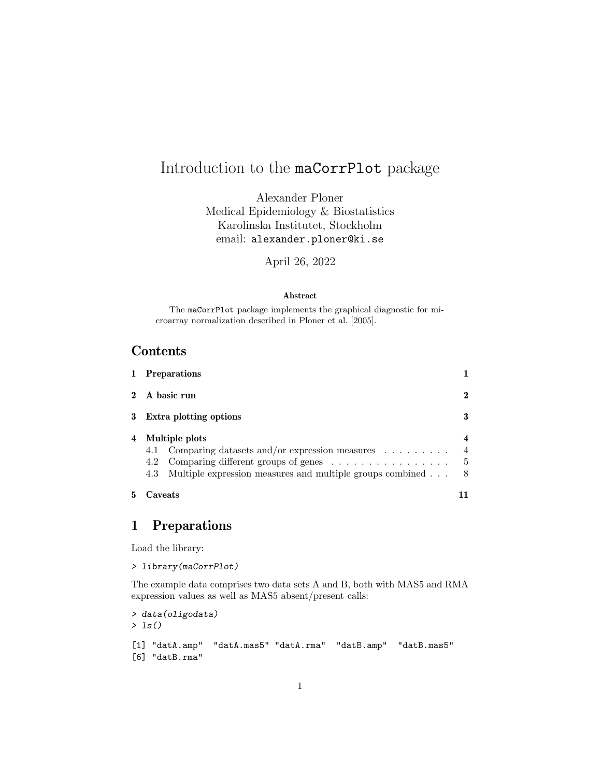# Introduction to the maCorrPlot package

Alexander Ploner Medical Epidemiology & Biostatistics Karolinska Institutet, Stockholm email: alexander.ploner@ki.se

April 26, 2022

#### Abstract

The maCorrPlot package implements the graphical diagnostic for microarray normalization described in Ploner et al. [2005].

### Contents

|   | 1 Preparations                                                                                                 |                                         |
|---|----------------------------------------------------------------------------------------------------------------|-----------------------------------------|
|   | 2 A basic run                                                                                                  | $\boldsymbol{2}$                        |
|   | 3 Extra plotting options                                                                                       | 3                                       |
| 4 | Multiple plots<br>4.1 Comparing datasets and/or expression measures<br>4.2 Comparing different groups of genes | $\overline{4}$<br>$\overline{4}$<br>- 5 |
| 5 | Multiple expression measures and multiple groups combined<br>4.3<br>Caveats                                    | - 8                                     |

### 1 Preparations

Load the library:

> library(maCorrPlot)

The example data comprises two data sets A and B, both with MAS5 and RMA expression values as well as MAS5 absent/present calls:

```
> data(oligodata)
> ls()
[1] "datA.amp" "datA.mas5" "datA.rma" "datB.amp" "datB.mas5"
[6] "datB.rma"
```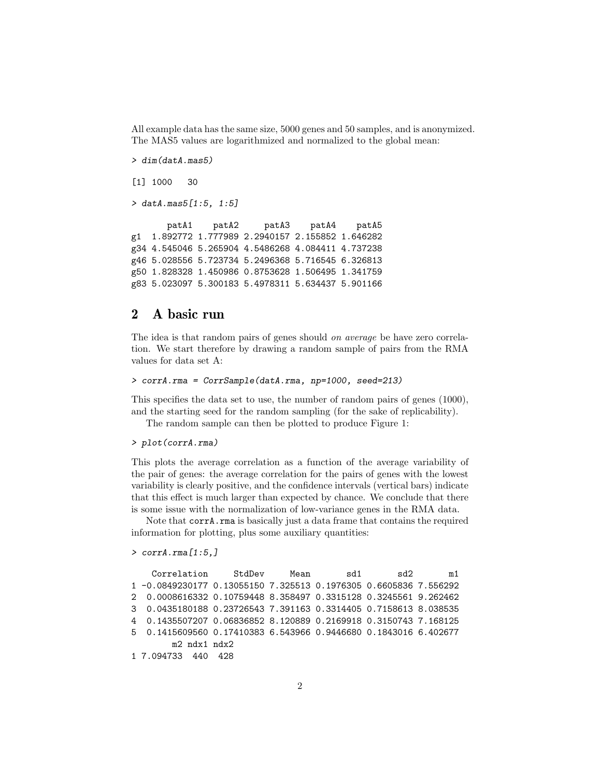All example data has the same size, 5000 genes and 50 samples, and is anonymized. The MAS5 values are logarithmized and normalized to the global mean:

```
> dim(datA.mas5)
[1] 1000 30
> datA.mas5[1:5, 1:5]
      patA1 patA2 patA3 patA4 patA5
g1 1.892772 1.777989 2.2940157 2.155852 1.646282
g34 4.545046 5.265904 4.5486268 4.084411 4.737238
g46 5.028556 5.723734 5.2496368 5.716545 6.326813
g50 1.828328 1.450986 0.8753628 1.506495 1.341759
g83 5.023097 5.300183 5.4978311 5.634437 5.901166
```
### 2 A basic run

The idea is that random pairs of genes should on average be have zero correlation. We start therefore by drawing a random sample of pairs from the RMA values for data set A:

```
> corrA.rma = CorrSample(datA.rma, np=1000, seed=213)
```
This specifies the data set to use, the number of random pairs of genes (1000), and the starting seed for the random sampling (for the sake of replicability).

The random sample can then be plotted to produce Figure 1:

#### > plot(corrA.rma)

This plots the average correlation as a function of the average variability of the pair of genes: the average correlation for the pairs of genes with the lowest variability is clearly positive, and the confidence intervals (vertical bars) indicate that this effect is much larger than expected by chance. We conclude that there is some issue with the normalization of low-variance genes in the RMA data.

Note that corrA.rma is basically just a data frame that contains the required information for plotting, plus some auxiliary quantities:

```
> corrA.rma[1:5,]
```

```
Correlation StdDev Mean sd1 sd2 m1
1 -0.0849230177 0.13055150 7.325513 0.1976305 0.6605836 7.556292
2 0.0008616332 0.10759448 8.358497 0.3315128 0.3245561 9.262462
3 0.0435180188 0.23726543 7.391163 0.3314405 0.7158613 8.038535
4 0.1435507207 0.06836852 8.120889 0.2169918 0.3150743 7.168125
5 0.1415609560 0.17410383 6.543966 0.9446680 0.1843016 6.402677
       m2 ndx1 ndx2
1 7.094733 440 428
```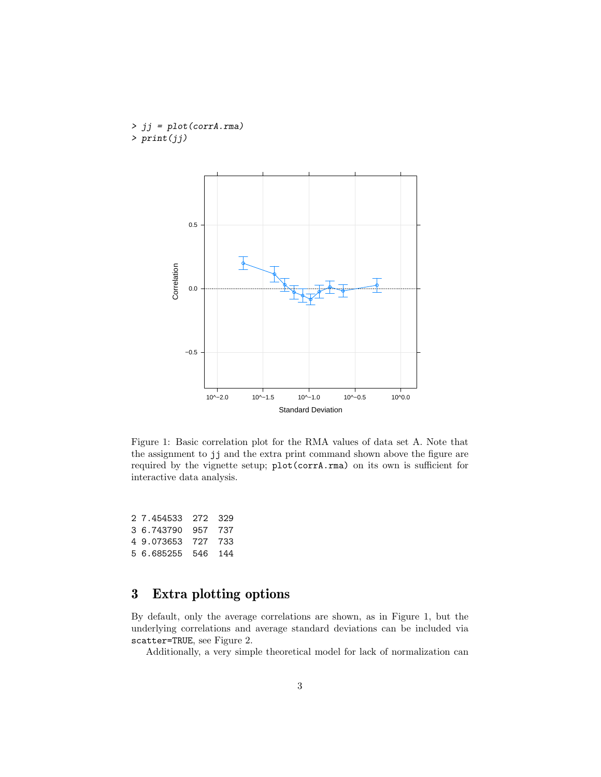> jj = plot(corrA.rma) > print(jj)



Figure 1: Basic correlation plot for the RMA values of data set A. Note that the assignment to jj and the extra print command shown above the figure are required by the vignette setup; plot(corrA.rma) on its own is sufficient for interactive data analysis.

2 7.454533 272 329 3 6.743790 957 737 4 9.073653 727 733 5 6.685255 546 144

# 3 Extra plotting options

By default, only the average correlations are shown, as in Figure 1, but the underlying correlations and average standard deviations can be included via scatter=TRUE, see Figure 2.

Additionally, a very simple theoretical model for lack of normalization can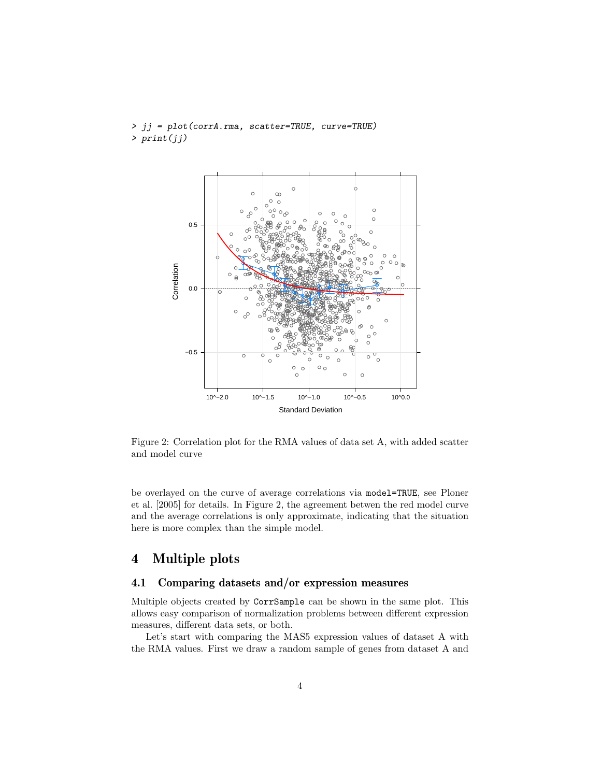

> jj = plot(corrA.rma, scatter=TRUE, curve=TRUE) > print(jj)

Figure 2: Correlation plot for the RMA values of data set A, with added scatter and model curve

be overlayed on the curve of average correlations via model=TRUE, see Ploner et al. [2005] for details. In Figure 2, the agreement betwen the red model curve and the average correlations is only approximate, indicating that the situation here is more complex than the simple model.

## 4 Multiple plots

#### 4.1 Comparing datasets and/or expression measures

Multiple objects created by CorrSample can be shown in the same plot. This allows easy comparison of normalization problems between different expression measures, different data sets, or both.

Let's start with comparing the MAS5 expression values of dataset A with the RMA values. First we draw a random sample of genes from dataset A and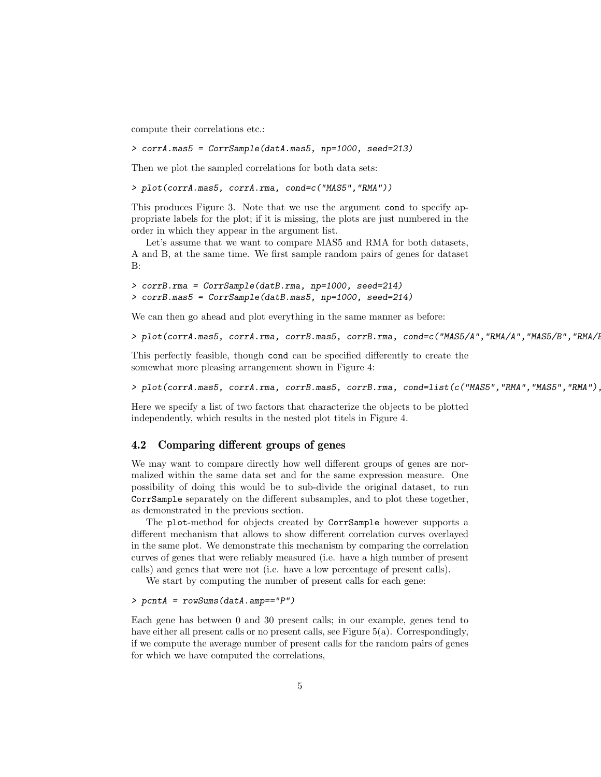compute their correlations etc.:

> corrA.mas5 = CorrSample(datA.mas5, np=1000, seed=213)

Then we plot the sampled correlations for both data sets:

> plot(corrA.mas5, corrA.rma, cond=c("MAS5","RMA"))

This produces Figure 3. Note that we use the argument cond to specify appropriate labels for the plot; if it is missing, the plots are just numbered in the order in which they appear in the argument list.

Let's assume that we want to compare MAS5 and RMA for both datasets, A and B, at the same time. We first sample random pairs of genes for dataset B:

```
> corrB.rma = CorrSample(datB.rma, np=1000, seed=214)
> corrB.mas5 = CorrSample(datB.mas5, np=1000, seed=214)
```
We can then go ahead and plot everything in the same manner as before:

```
> plot(corrA.mas5, corrA.rma, corrB.mas5, corrB.rma, cond=c("MAS5/A","RMA/A","MAS5/B","RMA/B"))
```
This perfectly feasible, though cond can be specified differently to create the somewhat more pleasing arrangement shown in Figure 4:

 $> plot(corrA.mas5, corrA.rma, corrB.mas5, corrB.mas, corrB.rma, cond-list(c('MAS5'', TRMA'', 'MAS5'', 'RMA'')$ 

Here we specify a list of two factors that characterize the objects to be plotted independently, which results in the nested plot titels in Figure 4.

#### 4.2 Comparing different groups of genes

We may want to compare directly how well different groups of genes are normalized within the same data set and for the same expression measure. One possibility of doing this would be to sub-divide the original dataset, to run CorrSample separately on the different subsamples, and to plot these together, as demonstrated in the previous section.

The plot-method for objects created by CorrSample however supports a different mechanism that allows to show different correlation curves overlayed in the same plot. We demonstrate this mechanism by comparing the correlation curves of genes that were reliably measured (i.e. have a high number of present calls) and genes that were not (i.e. have a low percentage of present calls).

We start by computing the number of present calls for each gene:

#### > pcntA = rowSums(datA.amp=="P")

Each gene has between 0 and 30 present calls; in our example, genes tend to have either all present calls or no present calls, see Figure 5(a). Correspondingly, if we compute the average number of present calls for the random pairs of genes for which we have computed the correlations,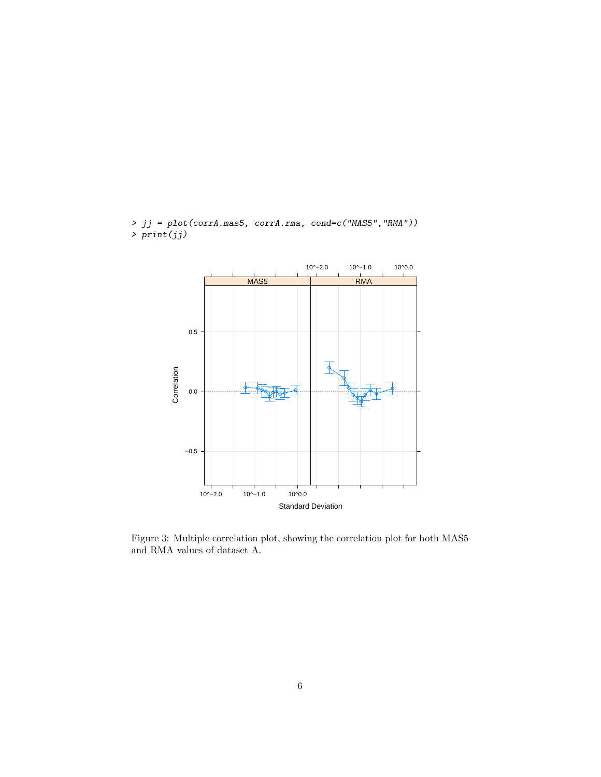

> jj = plot(corrA.mas5, corrA.rma, cond=c("MAS5","RMA"))  $>$  print(jj)

Figure 3: Multiple correlation plot, showing the correlation plot for both MAS5 and RMA values of dataset A.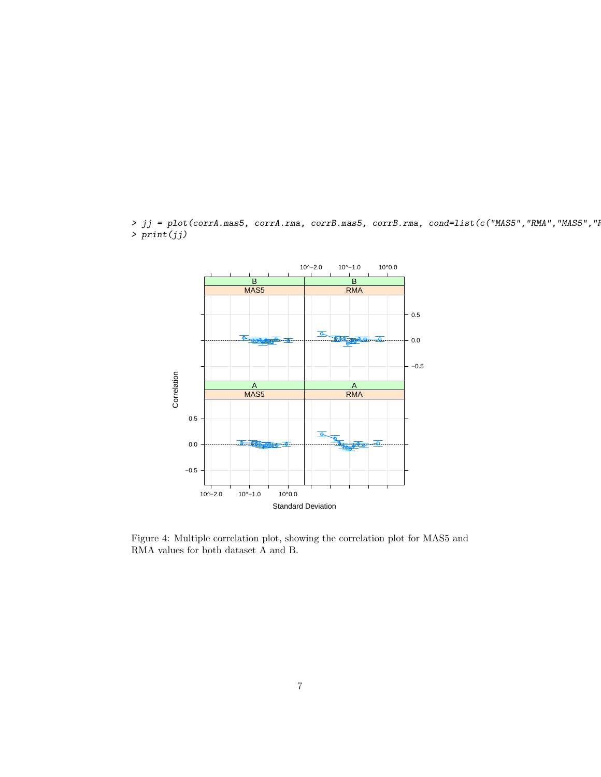$> jj = plot(corrA.mas5, corrA.rma, corrB.mas5, corrB.mas7, corrB.rma, cond-list(c("MASS", "RMA", "MAS5", "HAS5", "A$  $>$  print $(jj)$ 



Figure 4: Multiple correlation plot, showing the correlation plot for MAS5 and RMA values for both dataset A and B.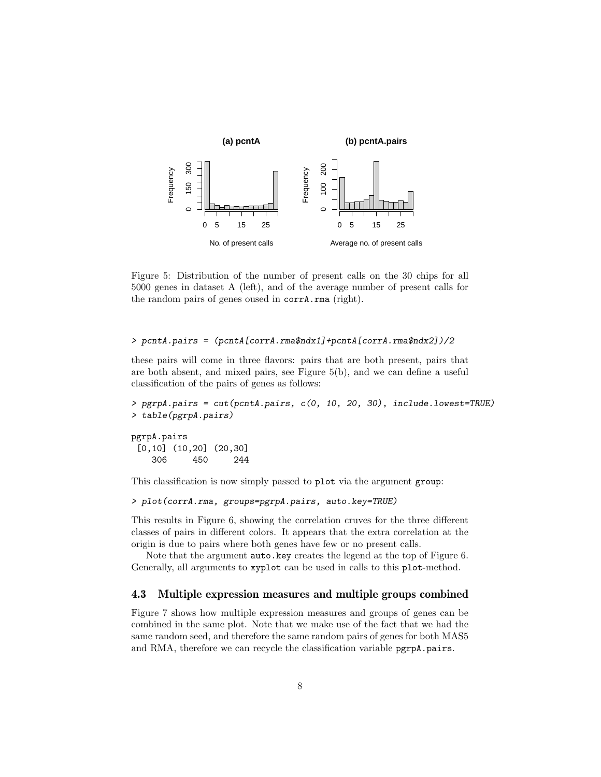

Figure 5: Distribution of the number of present calls on the 30 chips for all 5000 genes in dataset A (left), and of the average number of present calls for the random pairs of genes oused in corrA.rma (right).

#### > pcntA.pairs = (pcntA[corrA.rma\$ndx1]+pcntA[corrA.rma\$ndx2])/2

these pairs will come in three flavors: pairs that are both present, pairs that are both absent, and mixed pairs, see Figure 5(b), and we can define a useful classification of the pairs of genes as follows:

```
> pgrpA.pairs = cut(pcntA.pairs, c(0, 10, 20, 30), include.lowest=TRUE)
> table(pgrpA.pairs)
```
pgrpA.pairs [0,10] (10,20] (20,30] 306 450 244

This classification is now simply passed to plot via the argument group:

```
> plot(corrA.rma, groups=pgrpA.pairs, auto.key=TRUE)
```
This results in Figure 6, showing the correlation cruves for the three different classes of pairs in different colors. It appears that the extra correlation at the origin is due to pairs where both genes have few or no present calls.

Note that the argument auto.key creates the legend at the top of Figure 6. Generally, all arguments to xyplot can be used in calls to this plot-method.

#### 4.3 Multiple expression measures and multiple groups combined

Figure 7 shows how multiple expression measures and groups of genes can be combined in the same plot. Note that we make use of the fact that we had the same random seed, and therefore the same random pairs of genes for both MAS5 and RMA, therefore we can recycle the classification variable pgrpA.pairs.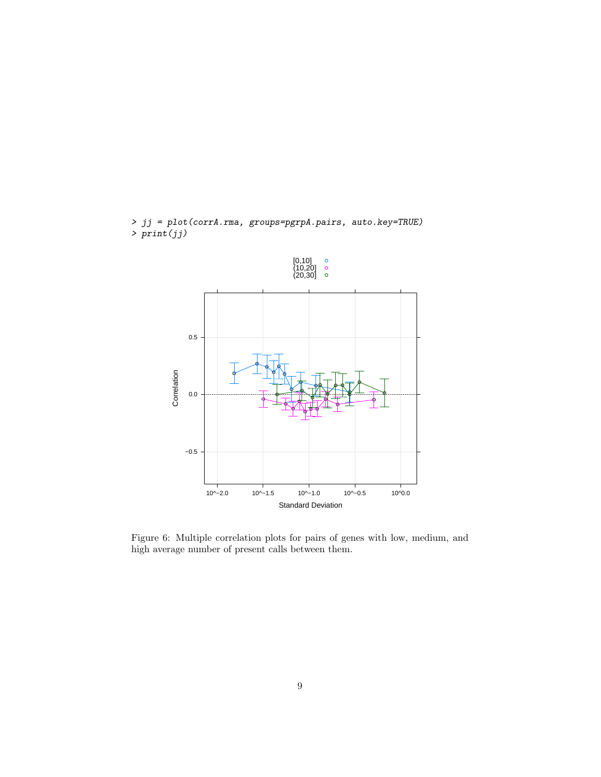

> jj = plot(corrA.rma, groups=pgrpA.pairs, auto.key=TRUE)  $> print(jj)$ 

Figure 6: Multiple correlation plots for pairs of genes with low, medium, and high average number of present calls between them.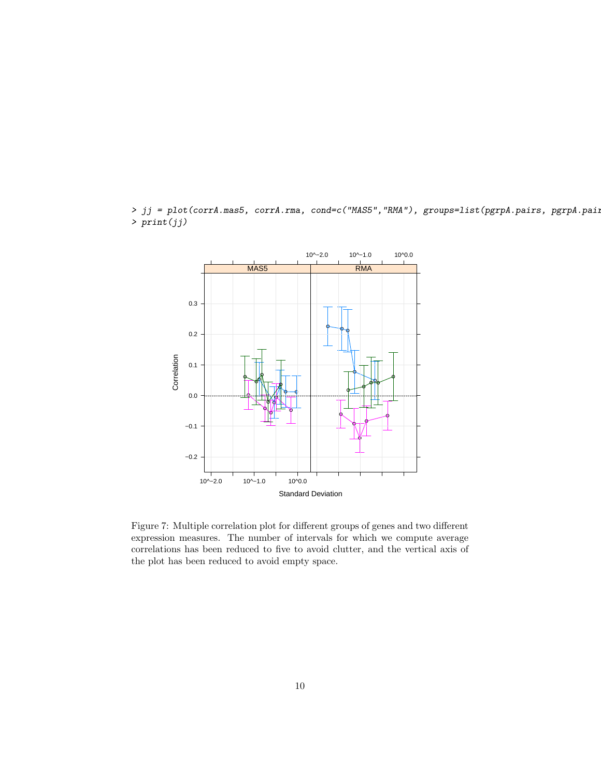

> jj = plot(corrA.mas5, corrA.rma, cond=c("MAS5","RMA"), groups=list(pgrpA.pairs, pgrpA.paii > print(jj)

Figure 7: Multiple correlation plot for different groups of genes and two different expression measures. The number of intervals for which we compute average correlations has been reduced to five to avoid clutter, and the vertical axis of the plot has been reduced to avoid empty space.